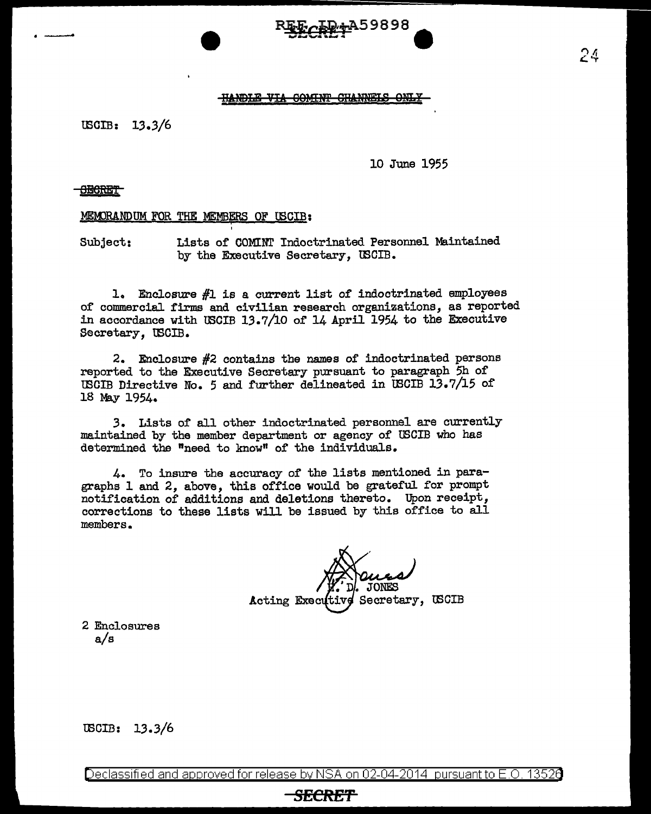# ·- ~9898 ... \_\_\_\_\_\_ **<sup>e</sup>**

# **HANDLE VIA COMINT CHANNELS ON**

 $USCIB: 13.3/6$ 

10 June 1955

# <del>- SECRET |</del>

MEMORANDUM FOR THE MEMBERS OF USCIB:

'

Subject: Lists or COMINI' Indoctrinated Personnel Maintained by the Executive Secretary, WCIB.

1. Enclosure #1 is a current list of indoctrinated employees of commercial firms and civilian research organizations, as reported in accordance with USCIB 13.7/10 of 14 April 1954 to the Executive Secretary, U3CIB.

2. Enclosure #2 contains the names of indoctrinated persons reported to the Executive Secretary pursuant to paragraph 5h of USCIB Directive No. 5 and further delineated in USCIB  $13.7/15$  of 18 May 1954.

3. Lists of all other indoctrinated personnel are currently maintained by the member department or agency of USCIB who has determined the "need to know" of the individuals.

4. To insure the accuracy of the lists mentioned in paragraphs 1 and 2, above, this office would be grateful for prompt notification of additions and deletions thereto. Upon receipt, corrections to these lists will be issued by this office to all members.

Secretary, USCIB Acting Executive

2 Enclosures a/s

USCIB: 13.3/6

Declassified and approved for release by NSA on 02-04-2014 pursuantto E.O. 1352a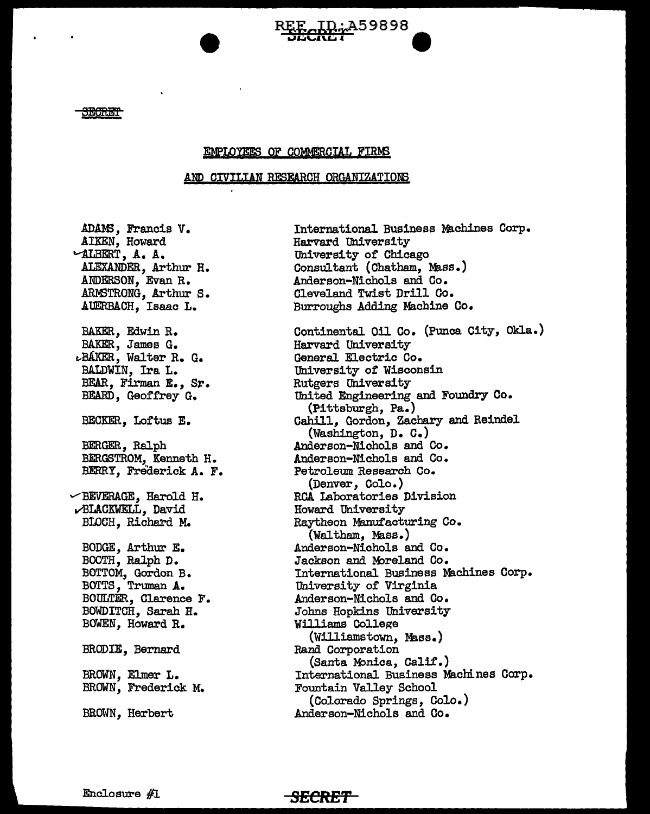

<del>JECRET</del>

# EMPLOYEES OF COMMERCIAL FIRMS

# AND CIVILIAN RESEARCH ORGANIZATIONS

**SECRE'f** 

ADAMS, Francis V. AIKEN, Howard "ALBERT, A. A. ALEXANDER, Arthur H. ANDERSON, Evan R. .ARM3TRONG, Arthur S. AUERBACH, Isaac L. BAKER, Edwin R. BAKER, James G. r.-BAKER., Walter R. G. BALDWIN, Ira L. BEAR, Firman E., Sr. BEARD, Geoffrey G. BECKER, Loftus E. BERGER, Ralph BERGSTROM, Kenneth H. BERRY, Frederick A. F.  $\vee$ BEVERAGE, Harold H. .;BLACKWELL, David BIOCH, Richard M. BODGE, Arthur E. BOOTH, Ralph D. BOTTOM, Gordon B. BOTTS, Truman A. BOULTER, Clarence F. BOWDITCH, Sarah H. BOWEN, Howard R. BRODIE, Bernard BROWN, Elmer L. BROWN, Frederick M. BROWN, Herbert

International Business Machines Corp. Harvard University University of Chicago Consultant (Chatham, Mass.) Anderson-Nichols and Co. Cleveland Twist Drill Co • Burroughs Adding Machine Co. Continental Oil Co. (Punca City, Okla.) Harvard University General Electric Co. University of Wisconsin Rutgers University<br>United Engineering and Foundry Co. (Pittsburgh, Pa.) Cahill, Gordon, Zachary and Reindel (Washington, D. C. ) Anderson-Nichols and Co. Anderson-Nichols and Co. Petroleum Research Co. (Denver, Colo.) RCA Laboratories Division Howard University Raytheon Manufacturing Co. (Waltham, Mass.) Anderson-Nichols and Co. Jackson and Moreland Co. International Business Machines Corp. University of Virginia Anderson-Nichols and Co. Johns Hopkins University Williams College (Williamstown, Mass.) Rand Corporation (Santa Monica, Calif.) International Business Machines Corp. Fountain Valley School (Colorado Springs, Colo.) Anderson-Nichols and Co.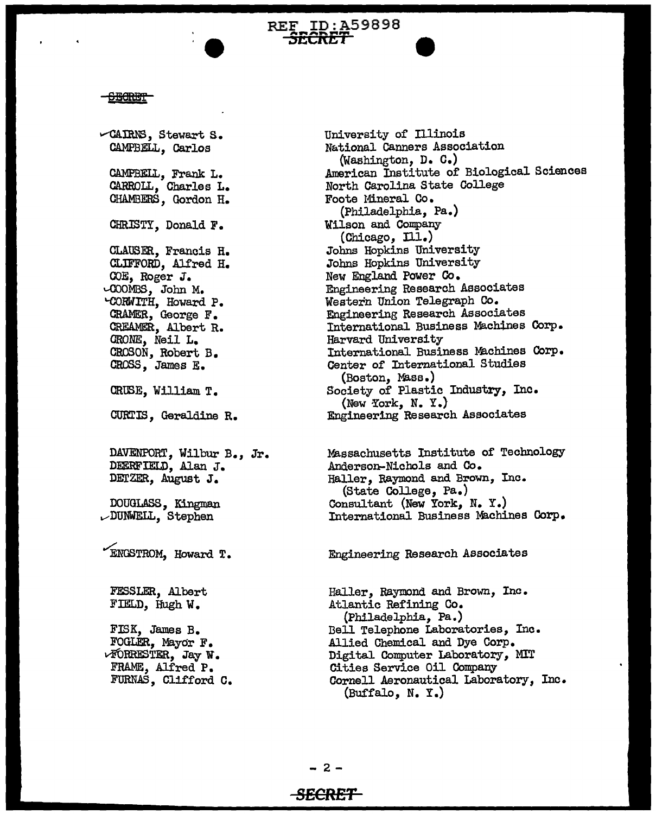### <del>CECRET</del>

 $\sim$ CAIRNS, Stewart S. CAMPBELL, Carlos CAMPBELL, Frank L. CARROLL, Charles L. CHAMBERS, Gordon H. CHRISTY, Donald F. GLAUSER, Francis H. CLIFFORD, Alfred H. COE, Roger J. '""°°OMBS, John M. '"CORWITH, Howard P. CRAMER, George F. CREAMER, Albert R. ORONE, Neil L. CROSON, Robert B. CROSS, James E. CRUSE, William T. CURTIS, Geraldine R. DAVENPORT, Wilbur B., Jr. DEERFIELD, Alan J. DErZER, August J. DOUGLASS, Kingman vDUNWELL, Stephen "ENGSTROM, Howard T. FESSLER, Albert FIELD, Hugh W. FISK, James B. FOGLER, Mayor F. vFORRESTER, JayW. FRAME, Alfred P. FURNAS, Cli£ford O.

University of Illinois National Canners Association {Washington, D. C.) American Institute of Biologioal Sciences North Carolina State College Foote Mineral Co. (Philadelphia, Pa.) Wilson and Company (Chicago, Ill.) Johns Hopkins University Johns Hopkins University New England Power Co. Engineering Research Associates Western Union Telegraph Co. Engineering Research Associates International Business Machines Corp. Harvard University International Business Machines Corp. Center of International Studies (Boston, Mass.) Society of Plastic Industry, Inc.<br>(New York, N. Y.) Engineering Research Associates

Massachusetts Institute of Technology Anderson-Nichols and Co. Haller, Raymond and Brown, Inc. (State College, Pa.) Consultant (New York, N. Y.) International Business Machines Corp.

Engineering Research Associates

Haller, Raymond and Brown, Inc. Atlantic Refining Co. (Philadelphia, Pa.) Dell Telephone Laboratories, Inc. Allied Chemical and Dye Corp. Digital Computer Laboratory, MIT Cities Service Oil Company Cornell Aeronautical Laboratory, Inc. (BUffalo, N. Y .)

REF ID:A59898<br><del>SECRET</del>

# **SECRET**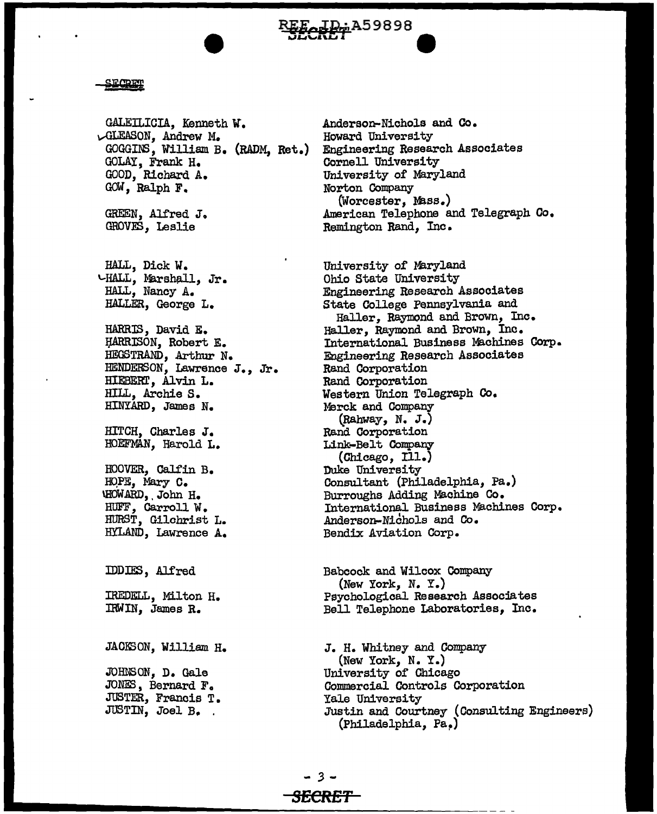EF-JD-A59898

### SECRET

GALEILICIA, Kenneth *W.*  vGLEASON, Andrew M. GOGGI1'5, William B. {RADM, Ret.) GOLAY, Frank H. GOOD, Richard A. GOW, Ralph F. GREEN, Alfred J. GROVES, Leslie HALL, Dick W.  $VHALL$ , Marshall, Jr. HALL, Nancy A. HALLER, George L. HARRIS, David E. If.ARRISON, Robert E. HEGSTRAND, Arthur N. HENDERSON, Lawrence J., Jr. HIEBERT, Alvin L. HILL, Archie S. HINYARD, James N. HITCH, Charles J. HOEFMAN, Harold L. HOOVER, Galfin B. HOPE, Mary C. \HOW.ARD, . John H. HUFF, Carroll W. HURST, Gilchrist L. HYLAND, Lawrence A. IDDIES, Alf'red IREDELL, Milton H. IRWIN, James R. JACKSON, William H. JOHlBON, D. Gale JONES, Bernard F. JUSTER, Francis T • JUSTIN, Joel B. .

Anderson-Nichols and Co. Howard University Engineering Research Associates Cornell University University 0£ Maryland Norton Company (Worcester, Mass.) American Telephone and Telegraph Co. Remington Rand, Inc.

University of Maryland Ohio State University Engineering Research Associates State College Pennsylvania and Haller, Raymond and Brown, Inc. Haller, Raymond and Brown, Inc. International Business Machines Corp. Engineering Research Associates Rand Corporation Rand Corporation Western Union Telegraph Co. :Merck and Company (RahWay, N. J.) Rand Corporation Link-Belt Company (Chicago, Ill.)<br>Duke University Consultant (Philadelphia, Pa.) Burroughs Adding Machine Co. International Business Machines Corp. Anderson-Nichols and Co. Bendix Aviation Corp.

Babcock and Wilcox Company (New York, N. Y.) Psychological Research Associates Bell Telephone Laboratories, Inc.

J. H. Whitney and Company (New York, N. Y.) University of Chicago Commercial Controls Corporation Yale University Justin and Courtney (Consulting Engineers) (Philadelphia, Pa~)

- *3* - *SECRET*  .......... \_\_\_\_\_\_\_\_\_\_\_\_\_\_\_ ~-=~=-=-~~~~~-----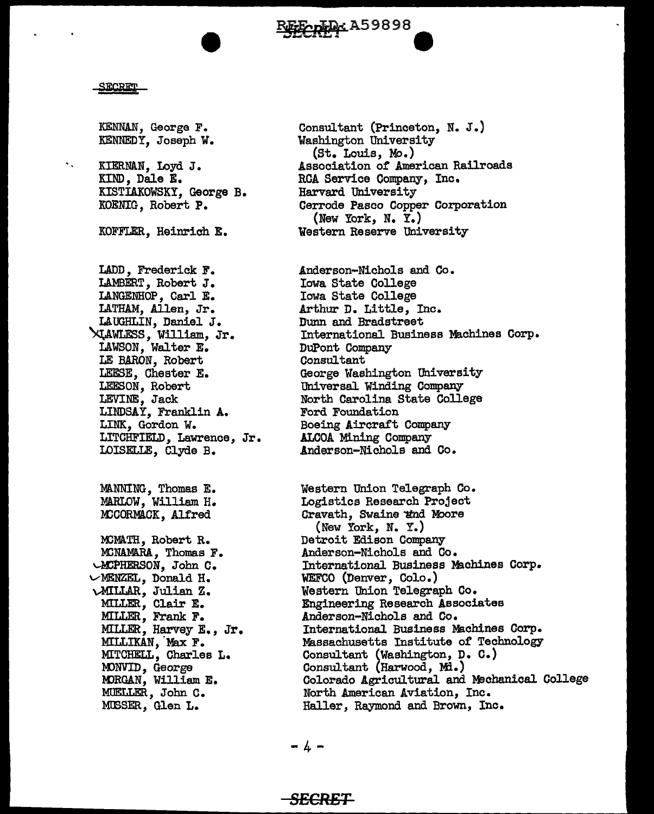**EFECREAL A59898** 

# <u> SECRET</u>

 $\mathbf{v}_\infty$ 

KENNAN, George F. KENNEDY, Joseph W.

KIERNAN, Loyd J. KIND, Dale E. KISTIAKOWSKY, George B. KOENIG, Robert P.

KOFFLER, Heinrich E.

LADD, Frederick F. LAMBERT, Robert J. LANGENHOP, Carl E. LATHAM, Allen, Jr. LAUGHLIN, Daniel J. ~WLF.sS, William, Jr. LAWSON, Walter E. LE BARON, Robert LEESE, Chester E. LEFSON, Robert LEVINE, Jack LINDSAY, Franklin A. LINK, Gordon W. LITCHFIELD, Lawrence, Jr. LOISELLE, Clyde B.

MANNING, Thomas E. MARLOW, William H. MCCORMAGK, Alfred

MCMATH, Robert R. MCNAMARA, Thomas F. ~HERSON, John C. vMENZEL, Donald H. \.-MILLAR, Julian z. MILLER, Clair E. MILLER, Frank F. MILLER, Harvey E. , Jr. MILLIKAN, Max F. MITCHELL, Charles L. MONVID, George MORGAN, William E. MUELLER, John C. MUSSER, Glen L.

Consultant (Princeton, N. J.) Washington University (St. Louis, Mo.) Association *ot* American Railroads RCA Service Company, Inc. Harvard University Cerrode Pasco Copper Corporation (New York, N. Y.) Western Reserve University

Anderson-Nichols and Co. Iowa State College Iowa State College Arthur D. Little, Inc. Dunn and Bradstreet International Business Machines Corp. DuPont Company Consultant George Washington University Universal Winding Company North Carolina State College Ford Foundation Boeing Aircraft Company .ALCOA Mining Company .Anderson-Nichols and Co.

Western Union Telegraph Co. Logistics Research Project Cravath, Swaine and Moore (New York, N. Y.) Detroit Edison Company Anderson-Nichols and Co. International Business Machines Corp. WEFCO (Denver, Colo.) Western Union Telegraph Co. Engineering Research Associates Anderson-Nichols and Co. International Business Machines Corp. Massachusetts Institute of Technology Consultant (Washington, D. C.) Consultant (Harwood, Mi.) Colorado Agricultural and M9chanical College North American Aviation, Inc. Haller, Raymond and Brown, Inc.

-4-

# *SECRET*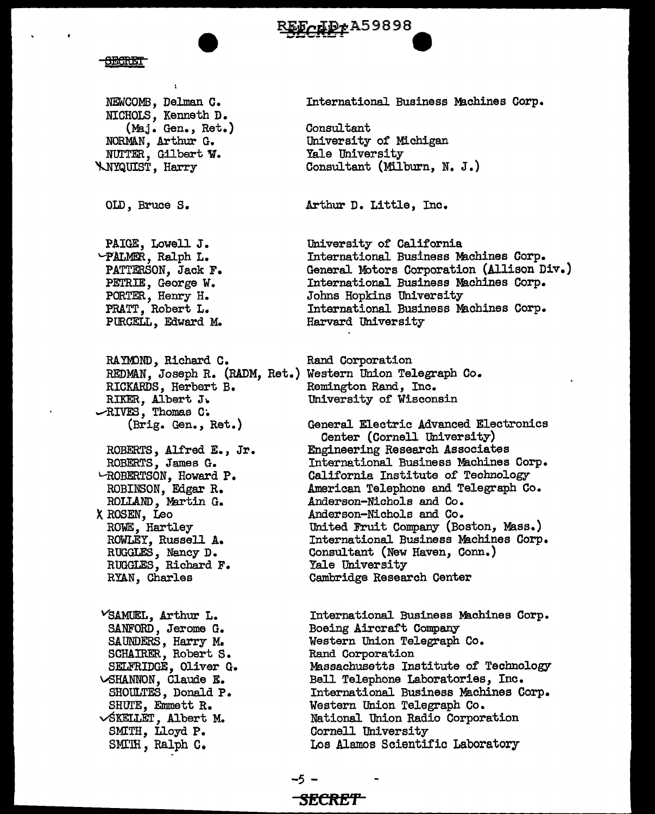# EFCLPrA59898

**Henry** 

NEWCOMB, Delman G. NICHOLS, Kenneth D. (Maj. Gen., Ret.) NORMAN, Arthur G. NUTTER, Gilbert W. **ANYQUIST, Harry** 

OLD, Bruce S.

PAIGE, Lowell J. PALMER, Ralph L. PATTERSON, Jack F. PETRIE, George W. PORTER, Henry H. PRATT, Robert L. PURCELL, Edward M.

RAYMOND, Richard C. REDMAN, Joseph R. (RADM, Ret.) Western Union Telegraph Co. RICKARDS, Herbert B. RIKER, Albert J.  $\sim$ RIVES, Thomas C. (Brig. Gen., Ret.)

ROBERTS, Alfred E., Jr. ROBERTS, James G. LROBERTSON, Howard P. ROBINSON, Edgar R. ROLLAND, Martin G. X ROSEN, Leo ROWE, Hartley ROWLEY, Russell A. RUGGLES, Nancy D. RUGGLES, Richard F. RYAN, Charles

VSAMUEL, Arthur L. SANFORD, Jerome G. SAUNDERS, Harry M. SCHAIRER, Robert S. SELFRIDGE, Oliver G. **SHANNON**, Claude E. SHOULTES, Donald P. SHUTE, Emmett R.  $\sqrt{\text{SKELLET}}$ , Albert M. SMITH, Lloyd P. SMIH, Ralph C.

International Business Machines Corp.

Consultant University of Michigan Yale University Consultant (Milburn, N. J.)

Arthur D. Little, Inc.

University of California International Business Machines Corp. General Motors Corporation (Allison Div.) International Business Machines Corp. Johns Hopkins University International Business Machines Corp. Harvard University

Rand Corporation Remington Rand, Inc. University of Wisconsin

General Electric Advanced Electronics Center (Cornell University) Engineering Research Associates International Business Machines Corp. California Institute of Technology American Telephone and Telegraph Co. Anderson-Nichols and Co. Anderson-Nichols and Co. United Fruit Company (Boston, Mass.) International Business Machines Corp. Consultant (New Haven, Conn.) Yale University Cambridge Research Center

International Business Machines Corp. Boeing Aircraft Company Western Union Telegraph Co. Rand Corporation Massachusetts Institute of Technology Bell Telephone Laboratories, Inc. International Business Machines Corp. Western Union Telegraph Co. National Union Radio Corporation Cornell University Los Alamos Scientific Laboratory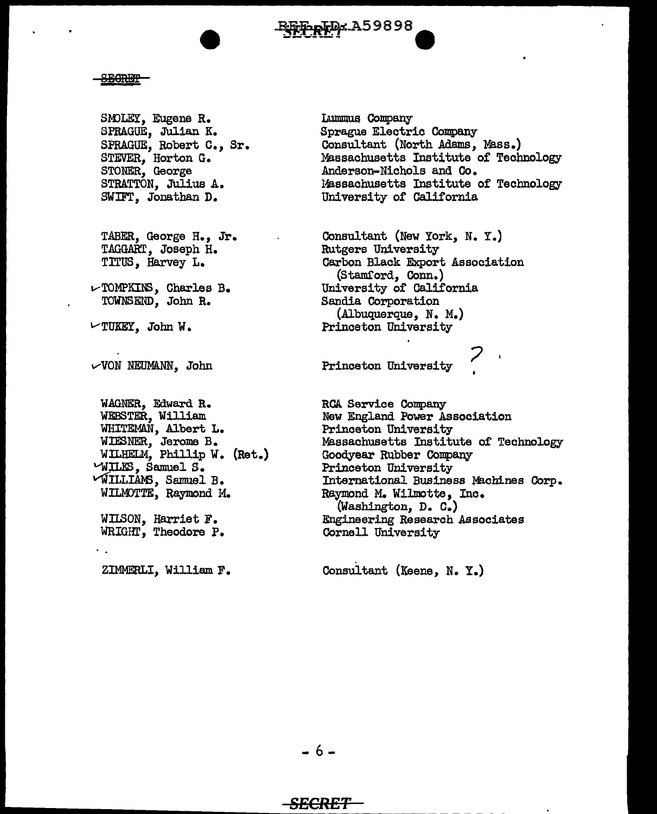

# **SECRET**

SMOLEY, Eugene R. SPRAGUE, Ju11an K. SPRAGUE, Robert c., Sr. STEVER, Horton G. STONER, George STRATTON, Julius A. SWIFT. Jonathan D.

TABER, George H., Jr. TAGGART, Joseph H. TITUS, Harvey L.

 $\nu$ TOMPKINS, Charles B. TOWNSEND, John R.

 $\nu$ TUKEY, John W.

 $\vee$ VON NEUMANN, John

WAGNER, Edward R. WEBSTER, William WHITEMAN, Albert L. WIESNER, Jerome B. WILHELM, Phillip W. (Rat.) '--WILES, Samuel S. *VWILLIANS, Samuel B.* WILMOTTE, Raymond M.

WIISON, Harriet F. WRIGHT, Theodore P.

ZIMMERLI, William F.

Lummus Company Sprague Electric Company Consultant (North Adams, Mass.) Massachusetts Institute or Technology Anderson-Nichols and Co. Massachusetts Institute of Technology University or California

Consultant (New York, N. Y.) Rutgers University Carbon Black Export Association (Stamford, Conn.) University of California Sandia Corporation (Albuquerque, N. M.) Princeton University

Princeton University

RCA Service Company New England Power Association Princeton University Massachusetts Inetitute of Technology Goodyear Rubber Company Princeton University International Business ffachines Corp. Raymond M. Wilmotte, Inc. (Washington, D. C.) Engineering Research Associates Cornell University

Consultant (Keene, N. Y.)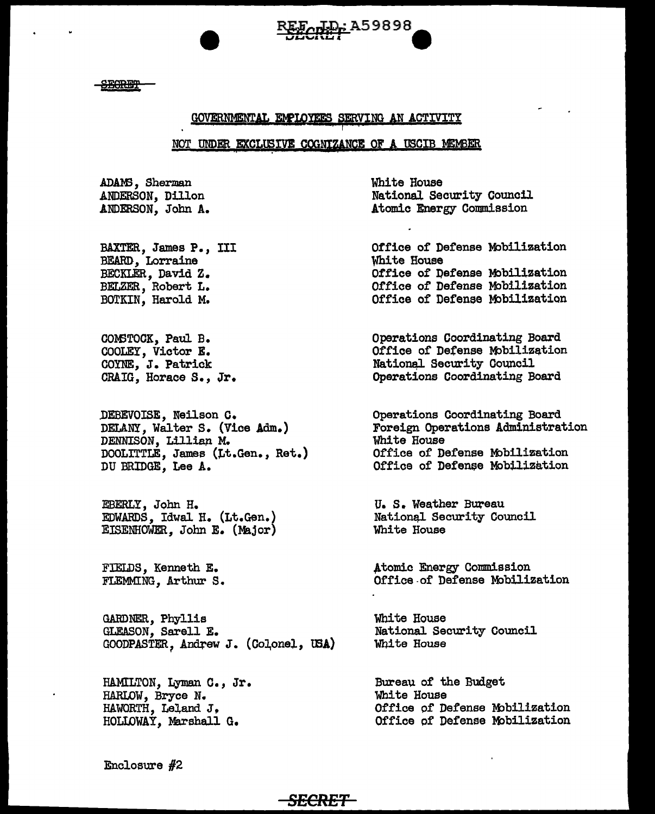**SEGRET** 

# GOVERNMENTAL EMPLOYEES SERVING AN ACTIVITY

<u>ID-:</u> A59898

# NOT UNDER EXCLUSIVE COGNIZANCE OF A USCIB MEMBER

ADAMS, Sherman ANDERSON, Dillon ANDERSON, John A.

BAXTER, James P., III BEARD, Lorraine BECKLER, David Z. BELZER, Robert L. BOTKIN, Harold M.

COMSTOCK, Paul B. COOLEY, Victor E. COYNE, J. Patrick CRAIG. Horace S., Jr.

DEBEVOISE, Neilson C. DELANY, Walter S. (Vice Adm.) DENNISON, Lillian M. DOOLITTLE, James (Lt.Gen., Ret.) DU BRIDGE, Lee A.

EBERLY, John H. EDWARDS, Idwal H. (Lt.Gen.) EISENHOWER, John E. (Major)

FIELDS, Kenneth E. FLEMMING, Arthur S.

GARDNER, Phyllis GLEASON. Sarell E. GOODPASTER, Andrew J. (Colonel, USA)

<del>SECRET-</del>

HAMILTON, Lyman C., Jr. HARLOW, Bryce N. HAWORTH, Leland J. HOLLOWAY, Marshall G.

White House National Security Council Atomic Energy Commission

Office of Defense Mobilization White House Office of Defense Mobilization Office of Defense Mobilization Office of Defense Mobilization

Operations Coordinating Board Office of Defense Mobilization National Security Council Operations Coordinating Board

Operations Coordinating Board Foreign Operations Administration White House Office of Defense Mobilization Office of Defense Mobilization

U. S. Weather Bureau National Security Council White House

Atomic Energy Commission Office of Defense Mobilization

White House National Security Council White House

Bureau of the Budget White House Office of Defense Mobilization Office of Defense Mobilization

Enclosure  $#2$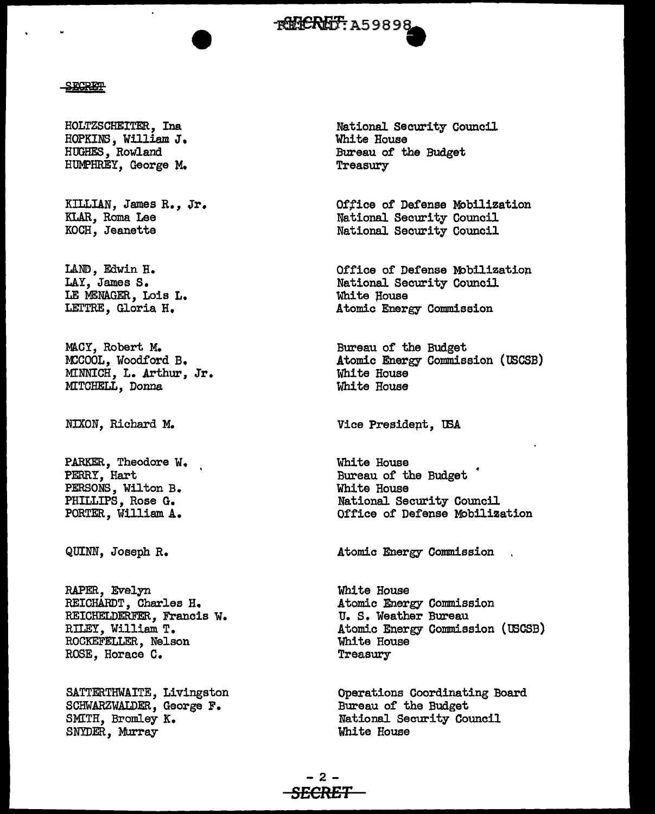# **~RHCRHT: A59898**

## **SECRET**

HOLTZSCHEITER, Ina HOPKINS, William J. HUGHES, Rowland HUMPHREY. George M.

KILLIAN, James R., Jr. KLAR, Roma Lee KOCH, Jeanette

LAND, Edwin H. LAY, James s. LE MENAGER, Lois L. LEI'TRE, Gloria H.

MACY, Robert M. MCCOOL. Woodford B. MINNICH, L. Arthur, Jr. MITCHELL, Donna

:NIXON, Richard M.

PARKER, Theodore W. PERRY, Hart PERSONS, Wilton B. PHILLIPS, Rose G. PORTER, William A.

QUINN, Joseph R.

RAPER, Evelyn REICHARDT, Charles H. REICHELDERFER, Francis W. RILEY, William T. ROCKEFELLER, Nelson ROSE, Horace c.

SATTERTHWAITE, Livingston SCHWARZWALDER, George F. SMITH, Bromley K. SNYDER, Murray

National Security Council White House Bureau of the Budget Treasury

Office of Defense Mobilization National Security Council National Security Council

Office of Defense Mobilization National Security Council White House Atomic Energy Commission

Bureau of the Budget Atomic Energy Commission (USCSB) White House White House

Vice Presidept, USA

White House Bureau of the Budget White House National Security Council Office of Defense Mobilization

Atomic Energy Commission

White House Atomic Energy Commission U. S. Weather Bureau Atomic Energy Commission (USCSB) White House Treasury

Operations Coordinating Board Bureau of the Budget National Security Council White House

-2- **SECRET**